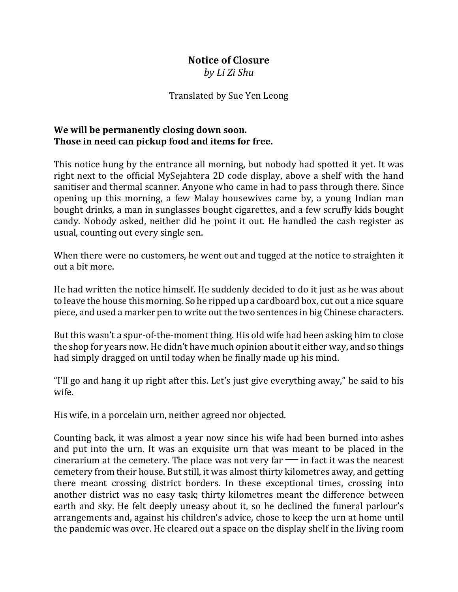## **Notice of Closure**

*by Li Zi Shu*

## Translated by Sue Yen Leong

## **We will be permanently closing down soon. Those in need can pickup food and items for free.**

This notice hung by the entrance all morning, but nobody had spotted it yet. It was right next to the official MySejahtera 2D code display, above a shelf with the hand sanitiser and thermal scanner. Anyone who came in had to pass through there. Since opening up this morning, a few Malay housewives came by, a young Indian man bought drinks, a man in sunglasses bought cigarettes, and a few scruffy kids bought candy. Nobody asked, neither did he point it out. He handled the cash register as usual, counting out every single sen.

When there were no customers, he went out and tugged at the notice to straighten it out a bit more.

He had written the notice himself. He suddenly decided to do it just as he was about to leave the house this morning. So he ripped up a cardboard box, cut out a nice square piece, and used a marker pen to write out the two sentences in big Chinese characters.

But this wasn't a spur-of-the-moment thing. His old wife had been asking him to close the shop for years now. He didn't have much opinion about it either way, and so things had simply dragged on until today when he finally made up his mind.

"I'll go and hang it up right after this. Let's just give everything away," he said to his wife.

His wife, in a porcelain urn, neither agreed nor objected.

Counting back, it was almost a year now since his wife had been burned into ashes and put into the urn. It was an exquisite urn that was meant to be placed in the cinerarium at the cemetery. The place was not very far  $\equiv$  in fact it was the nearest cemetery from their house. But still, it was almost thirty kilometres away, and getting there meant crossing district borders. In these exceptional times, crossing into another district was no easy task; thirty kilometres meant the difference between earth and sky. He felt deeply uneasy about it, so he declined the funeral parlour's arrangements and, against his children's advice, chose to keep the urn at home until the pandemic was over. He cleared out a space on the display shelf in the living room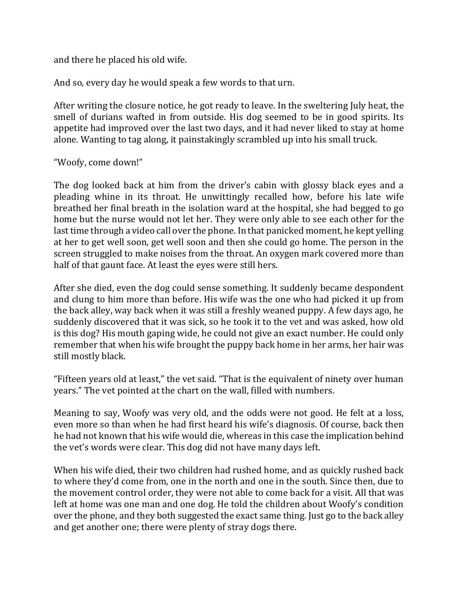and there he placed his old wife.

And so, every day he would speak a few words to that urn.

After writing the closure notice, he got ready to leave. In the sweltering July heat, the smell of durians wafted in from outside. His dog seemed to be in good spirits. Its appetite had improved over the last two days, and it had never liked to stay at home alone. Wanting to tag along, it painstakingly scrambled up into his small truck.

"Woofy, come down!"

The dog looked back at him from the driver's cabin with glossy black eyes and a pleading whine in its throat. He unwittingly recalled how, before his late wife breathed her final breath in the isolation ward at the hospital, she had begged to go home but the nurse would not let her. They were only able to see each other for the last time through a video call over the phone. In that panicked moment, he kept yelling at her to get well soon, get well soon and then she could go home. The person in the screen struggled to make noises from the throat. An oxygen mark covered more than half of that gaunt face. At least the eyes were still hers.

After she died, even the dog could sense something. It suddenly became despondent and clung to him more than before. His wife was the one who had picked it up from the back alley, way back when it was still a freshly weaned puppy. A few days ago, he suddenly discovered that it was sick, so he took it to the vet and was asked, how old is this dog? His mouth gaping wide, he could not give an exact number. He could only remember that when his wife brought the puppy back home in her arms, her hair was still mostly black.

"Fifteen years old at least," the vet said. "That is the equivalent of ninety over human years." The vet pointed at the chart on the wall, filled with numbers.

Meaning to say, Woofy was very old, and the odds were not good. He felt at a loss, even more so than when he had first heard his wife's diagnosis. Of course, back then he had not known that his wife would die, whereas in this case the implication behind the vet's words were clear. This dog did not have many days left.

When his wife died, their two children had rushed home, and as quickly rushed back to where they'd come from, one in the north and one in the south. Since then, due to the movement control order, they were not able to come back for a visit. All that was left at home was one man and one dog. He told the children about Woofy's condition over the phone, and they both suggested the exact same thing. Just go to the back alley and get another one; there were plenty of stray dogs there.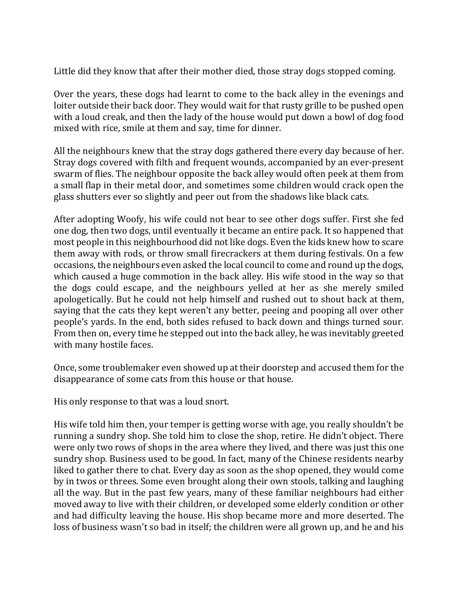Little did they know that after their mother died, those stray dogs stopped coming.

Over the years, these dogs had learnt to come to the back alley in the evenings and loiter outside their back door. They would wait for that rusty grille to be pushed open with a loud creak, and then the lady of the house would put down a bowl of dog food mixed with rice, smile at them and say, time for dinner.

All the neighbours knew that the stray dogs gathered there every day because of her. Stray dogs covered with filth and frequent wounds, accompanied by an ever-present swarm of flies. The neighbour opposite the back alley would often peek at them from a small flap in their metal door, and sometimes some children would crack open the glass shutters ever so slightly and peer out from the shadows like black cats.

After adopting Woofy, his wife could not bear to see other dogs suffer. First she fed one dog, then two dogs, until eventually it became an entire pack. It so happened that most people in this neighbourhood did not like dogs. Even the kids knew how to scare them away with rods, or throw small firecrackers at them during festivals. On a few occasions, the neighbours even asked the local council to come and round up the dogs, which caused a huge commotion in the back alley. His wife stood in the way so that the dogs could escape, and the neighbours yelled at her as she merely smiled apologetically. But he could not help himself and rushed out to shout back at them, saying that the cats they kept weren't any better, peeing and pooping all over other people's yards. In the end, both sides refused to back down and things turned sour. From then on, every time he stepped out into the back alley, he was inevitably greeted with many hostile faces.

Once, some troublemaker even showed up at their doorstep and accused them for the disappearance of some cats from this house or that house.

His only response to that was a loud snort.

His wife told him then, your temper is getting worse with age, you really shouldn't be running a sundry shop. She told him to close the shop, retire. He didn't object. There were only two rows of shops in the area where they lived, and there was just this one sundry shop. Business used to be good. In fact, many of the Chinese residents nearby liked to gather there to chat. Every day as soon as the shop opened, they would come by in twos or threes. Some even brought along their own stools, talking and laughing all the way. But in the past few years, many of these familiar neighbours had either moved away to live with their children, or developed some elderly condition or other and had difficulty leaving the house. His shop became more and more deserted. The loss of business wasn't so bad in itself; the children were all grown up, and he and his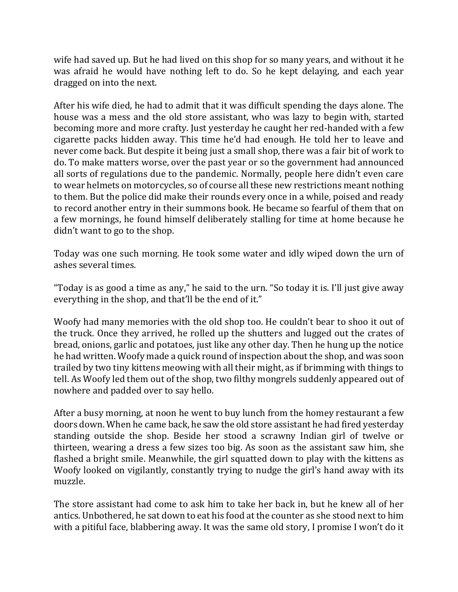wife had saved up. But he had lived on this shop for so many years, and without it he was afraid he would have nothing left to do. So he kept delaying, and each year dragged on into the next.

After his wife died, he had to admit that it was difficult spending the days alone. The house was a mess and the old store assistant, who was lazy to begin with, started becoming more and more crafty. Just yesterday he caught her red-handed with a few cigarette packs hidden away. This time he'd had enough. He told her to leave and never come back. But despite it being just a small shop, there was a fair bit of work to do. To make matters worse, over the past year or so the government had announced all sorts of regulations due to the pandemic. Normally, people here didn't even care to wear helmets on motorcycles, so of course all these new restrictions meant nothing to them. But the police did make their rounds every once in a while, poised and ready to record another entry in their summons book. He became so fearful of them that on a few mornings, he found himself deliberately stalling for time at home because he didn't want to go to the shop.

Today was one such morning. He took some water and idly wiped down the urn of ashes several times.

"Today is as good a time as any," he said to the urn. "So today it is. I'll just give away everything in the shop, and that'll be the end of it."

Woofy had many memories with the old shop too. He couldn't bear to shoo it out of the truck. Once they arrived, he rolled up the shutters and lugged out the crates of bread, onions, garlic and potatoes, just like any other day. Then he hung up the notice he had written. Woofy made a quick round of inspection about the shop, and was soon trailed by two tiny kittens meowing with all their might, as if brimming with things to tell. As Woofy led them out of the shop, two filthy mongrels suddenly appeared out of nowhere and padded over to say hello.

After a busy morning, at noon he went to buy lunch from the homey restaurant a few doors down. When he came back, he saw the old store assistant he had fired yesterday standing outside the shop. Beside her stood a scrawny Indian girl of twelve or thirteen, wearing a dress a few sizes too big. As soon as the assistant saw him, she flashed a bright smile. Meanwhile, the girl squatted down to play with the kittens as Woofy looked on vigilantly, constantly trying to nudge the girl's hand away with its muzzle.

The store assistant had come to ask him to take her back in, but he knew all of her antics. Unbothered, he sat down to eat his food at the counter as she stood next to him with a pitiful face, blabbering away. It was the same old story, I promise I won't do it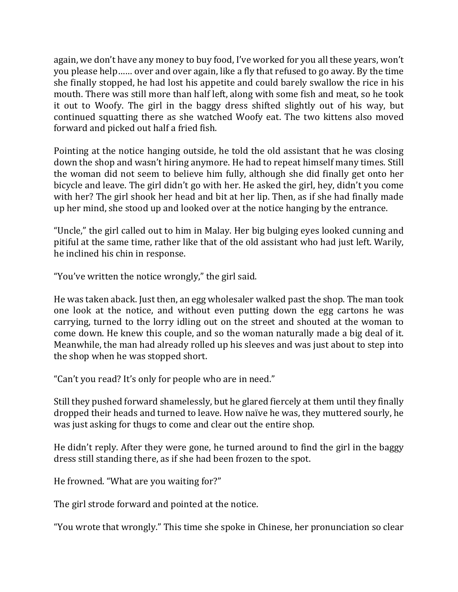again, we don't have any money to buy food, I've worked for you all these years, won't you please help…… over and over again, like a fly that refused to go away. By the time she finally stopped, he had lost his appetite and could barely swallow the rice in his mouth. There was still more than half left, along with some fish and meat, so he took it out to Woofy. The girl in the baggy dress shifted slightly out of his way, but continued squatting there as she watched Woofy eat. The two kittens also moved forward and picked out half a fried fish.

Pointing at the notice hanging outside, he told the old assistant that he was closing down the shop and wasn't hiring anymore. He had to repeat himself many times. Still the woman did not seem to believe him fully, although she did finally get onto her bicycle and leave. The girl didn't go with her. He asked the girl, hey, didn't you come with her? The girl shook her head and bit at her lip. Then, as if she had finally made up her mind, she stood up and looked over at the notice hanging by the entrance.

"Uncle," the girl called out to him in Malay. Her big bulging eyes looked cunning and pitiful at the same time, rather like that of the old assistant who had just left. Warily, he inclined his chin in response.

"You've written the notice wrongly," the girl said.

He was taken aback. Just then, an egg wholesaler walked past the shop. The man took one look at the notice, and without even putting down the egg cartons he was carrying, turned to the lorry idling out on the street and shouted at the woman to come down. He knew this couple, and so the woman naturally made a big deal of it. Meanwhile, the man had already rolled up his sleeves and was just about to step into the shop when he was stopped short.

"Can't you read? It's only for people who are in need."

Still they pushed forward shamelessly, but he glared fiercely at them until they finally dropped their heads and turned to leave. How naïve he was, they muttered sourly, he was just asking for thugs to come and clear out the entire shop.

He didn't reply. After they were gone, he turned around to find the girl in the baggy dress still standing there, as if she had been frozen to the spot.

He frowned. "What are you waiting for?"

The girl strode forward and pointed at the notice.

"You wrote that wrongly." This time she spoke in Chinese, her pronunciation so clear